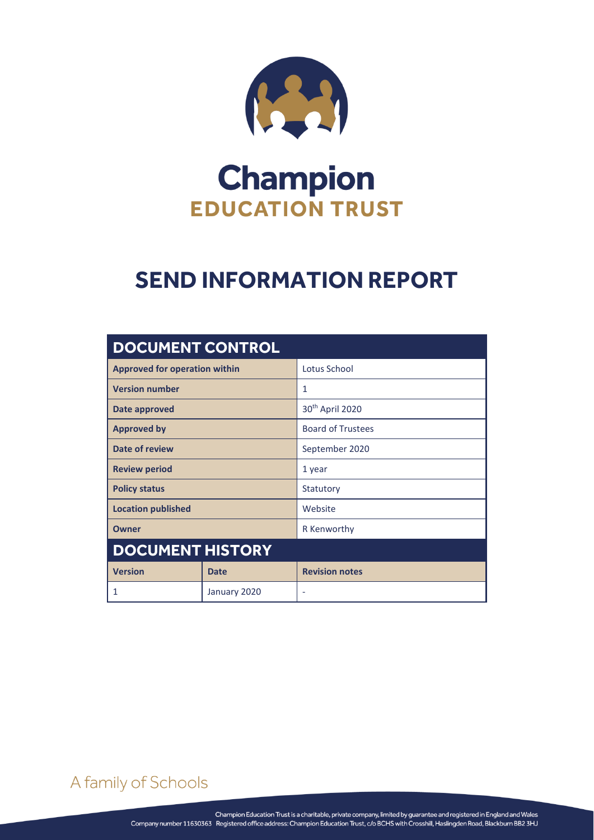

# **Champion EDUCATION TRUST**

## **SEND INFORMATION REPORT**

| <b>DOCUMENT CONTROL</b>              |              |                             |
|--------------------------------------|--------------|-----------------------------|
| <b>Approved for operation within</b> |              | Lotus School                |
| <b>Version number</b>                |              | 1                           |
| Date approved                        |              | 30 <sup>th</sup> April 2020 |
| <b>Approved by</b>                   |              | <b>Board of Trustees</b>    |
| <b>Date of review</b>                |              | September 2020              |
| <b>Review period</b>                 |              | 1 year                      |
| <b>Policy status</b>                 |              | Statutory                   |
| <b>Location published</b>            |              | Website                     |
| Owner                                |              | R Kenworthy                 |
| <b>DOCUMENT HISTORY</b>              |              |                             |
| <b>Version</b>                       | <b>Date</b>  | <b>Revision notes</b>       |
| 1                                    | January 2020 | ٠                           |

A family of Schools

SEND INFORMATION REPORT Page **0** of **4**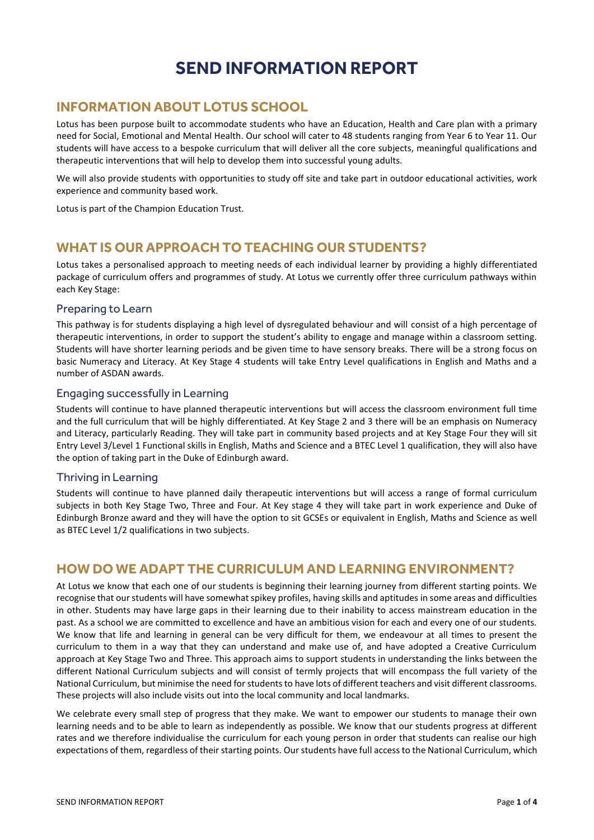## **SEND INFORMATION REPORT**

#### **INFORMATION ABOUT LOTUS SCHOOL**

Lotus has been purpose built to accommodate students who have an Education, Health and Care plan with a primary need for Social, Emotional and Mental Health. Our school will cater to 48 students ranging from Year 6 to Year 11. Our students will have access to a bespoke curriculum that will deliver all the core subjects, meaningful qualifications and therapeutic interventions that will help to develop them into successful young adults.

We will also provide students with opportunities to study off site and take part in outdoor educational activities, work experience and community based work.

Lotus is part of the Champion Education Trust.

#### **WHAT IS OUR APPROACH TO TEACHING OUR STUDENTS?**

Lotus takes a personalised approach to meeting needs of each individual learner by providing a highly differentiated package of curriculum offers and programmes of study. At Lotus we currently offer three curriculum pathways within each Key Stage:

#### Preparing to Learn

This pathway is for students displaying a high level of dysregulated behaviour and will consist of a high percentage of therapeutic interventions, in order to support the student's ability to engage and manage within a classroom setting. Students will have shorter learning periods and be given time to have sensory breaks. There will be a strong focus on basic Numeracy and Literacy. At Key Stage 4 students will take Entry Level qualifications in English and Maths and a number of ASDAN awards.

#### Engaging successfully in Learning

Students will continue to have planned therapeutic interventions but will access the classroom environment full time and the full curriculum that will be highly differentiated. At Key Stage 2 and 3 there will be an emphasis on Numeracy and Literacy, particularly Reading. They will take part in community based projects and at Key Stage Four they will sit Entry Level 3/Level 1 Functional skills in English, Maths and Science and a BTEC Level 1 qualification, they will also have the option of taking part in the Duke of Edinburgh award.

#### Thriving in Learning

Students will continue to have planned daily therapeutic interventions but will access a range of formal curriculum subjects in both Key Stage Two, Three and Four. At Key stage 4 they will take part in work experience and Duke of Edinburgh Bronze award and they will have the option to sit GCSEs or equivalent in English, Maths and Science as well as BTEC Level 1/2 qualifications in two subjects.

#### **HOW DO WE ADAPT THE CURRICULUM AND LEARNING ENVIRONMENT?**

At Lotus we know that each one of our students is beginning their learning journey from different starting points. We recognise that our students will have somewhat spikey profiles, having skills and aptitudes in some areas and difficulties in other. Students may have large gaps in their learning due to their inability to access mainstream education in the past. As a school we are committed to excellence and have an ambitious vision for each and every one of our students. We know that life and learning in general can be very difficult for them, we endeavour at all times to present the curriculum to them in a way that they can understand and make use of, and have adopted a Creative Curriculum approach at Key Stage Two and Three. This approach aims to support students in understanding the links between the different National Curriculum subjects and will consist of termly projects that will encompass the full variety of the National Curriculum, but minimise the need for students to have lots of different teachers and visit different classrooms. These projects will also include visits out into the local community and local landmarks.

We celebrate every small step of progress that they make. We want to empower our students to manage their own learning needs and to be able to learn as independently as possible. We know that our students progress at different rates and we therefore individualise the curriculum for each young person in order that students can realise our high expectations of them, regardless of their starting points. Our students have full access to the National Curriculum, which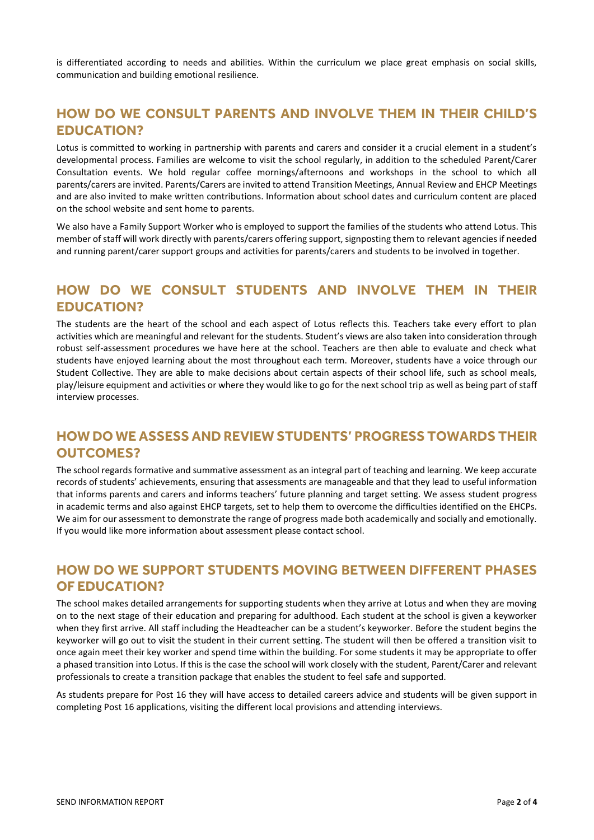is differentiated according to needs and abilities. Within the curriculum we place great emphasis on social skills, communication and building emotional resilience.

### **HOW DO WE CONSULT PARENTS AND INVOLVE THEM IN THEIR CHILD'S EDUCATION?**

Lotus is committed to working in partnership with parents and carers and consider it a crucial element in a student's developmental process. Families are welcome to visit the school regularly, in addition to the scheduled Parent/Carer Consultation events. We hold regular coffee mornings/afternoons and workshops in the school to which all parents/carers are invited. Parents/Carers are invited to attend Transition Meetings, Annual Review and EHCP Meetings and are also invited to make written contributions. Information about school dates and curriculum content are placed on the school website and sent home to parents.

We also have a Family Support Worker who is employed to support the families of the students who attend Lotus. This member of staff will work directly with parents/carers offering support, signposting them to relevant agencies if needed and running parent/carer support groups and activities for parents/carers and students to be involved in together.

## **HOW DO WE CONSULT STUDENTS AND INVOLVE THEM IN THEIR EDUCATION?**

The students are the heart of the school and each aspect of Lotus reflects this. Teachers take every effort to plan activities which are meaningful and relevant for the students. Student's views are also taken into consideration through robust self-assessment procedures we have here at the school. Teachers are then able to evaluate and check what students have enjoyed learning about the most throughout each term. Moreover, students have a voice through our Student Collective. They are able to make decisions about certain aspects of their school life, such as school meals, play/leisure equipment and activities or where they would like to go for the next school trip as well as being part of staff interview processes.

## **HOW DO WE ASSESS AND REVIEW STUDENTS' PROGRESS TOWARDS THEIR OUTCOMES?**

The school regards formative and summative assessment as an integral part of teaching and learning. We keep accurate records of students' achievements, ensuring that assessments are manageable and that they lead to useful information that informs parents and carers and informs teachers' future planning and target setting. We assess student progress in academic terms and also against EHCP targets, set to help them to overcome the difficulties identified on the EHCPs. We aim for our assessment to demonstrate the range of progress made both academically and socially and emotionally. If you would like more information about assessment please contact school.

### **HOW DO WE SUPPORT STUDENTS MOVING BETWEEN DIFFERENT PHASES OF EDUCATION?**

The school makes detailed arrangements for supporting students when they arrive at Lotus and when they are moving on to the next stage of their education and preparing for adulthood. Each student at the school is given a keyworker when they first arrive. All staff including the Headteacher can be a student's keyworker. Before the student begins the keyworker will go out to visit the student in their current setting. The student will then be offered a transition visit to once again meet their key worker and spend time within the building. For some students it may be appropriate to offer a phased transition into Lotus. If this is the case the school will work closely with the student, Parent/Carer and relevant professionals to create a transition package that enables the student to feel safe and supported.

As students prepare for Post 16 they will have access to detailed careers advice and students will be given support in completing Post 16 applications, visiting the different local provisions and attending interviews.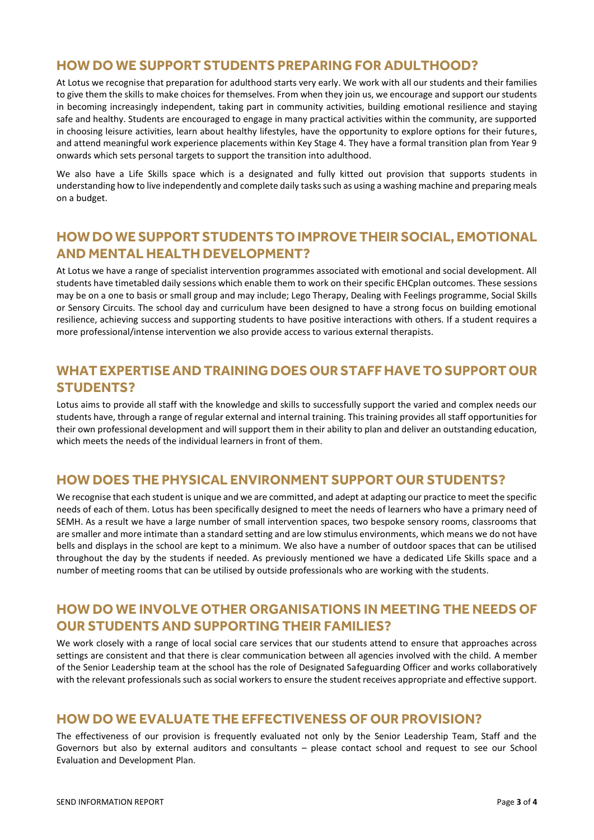#### **HOW DO WE SUPPORT STUDENTS PREPARING FOR ADULTHOOD?**

At Lotus we recognise that preparation for adulthood starts very early. We work with all our students and their families to give them the skills to make choices for themselves. From when they join us, we encourage and support our students in becoming increasingly independent, taking part in community activities, building emotional resilience and staying safe and healthy. Students are encouraged to engage in many practical activities within the community, are supported in choosing leisure activities, learn about healthy lifestyles, have the opportunity to explore options for their futures, and attend meaningful work experience placements within Key Stage 4. They have a formal transition plan from Year 9 onwards which sets personal targets to support the transition into adulthood.

We also have a Life Skills space which is a designated and fully kitted out provision that supports students in understanding how to live independently and complete daily tasks such as using a washing machine and preparing meals on a budget.

### **HOW DO WE SUPPORT STUDENTS TO IMPROVE THEIR SOCIAL, EMOTIONAL AND MENTAL HEALTH DEVELOPMENT?**

At Lotus we have a range of specialist intervention programmes associated with emotional and social development. All students have timetabled daily sessions which enable them to work on their specific EHCplan outcomes. These sessions may be on a one to basis or small group and may include; Lego Therapy, Dealing with Feelings programme, Social Skills or Sensory Circuits. The school day and curriculum have been designed to have a strong focus on building emotional resilience, achieving success and supporting students to have positive interactions with others. If a student requires a more professional/intense intervention we also provide access to various external therapists.

#### **WHAT EXPERTISE AND TRAINING DOES OUR STAFF HAVE TO SUPPORT OUR STUDENTS?**

Lotus aims to provide all staff with the knowledge and skills to successfully support the varied and complex needs our students have, through a range of regular external and internal training. This training provides all staff opportunities for their own professional development and will support them in their ability to plan and deliver an outstanding education, which meets the needs of the individual learners in front of them.

#### **HOW DOES THE PHYSICAL ENVIRONMENT SUPPORT OUR STUDENTS?**

We recognise that each student is unique and we are committed, and adept at adapting our practice to meet the specific needs of each of them. Lotus has been specifically designed to meet the needs of learners who have a primary need of SEMH. As a result we have a large number of small intervention spaces, two bespoke sensory rooms, classrooms that are smaller and more intimate than a standard setting and are low stimulus environments, which means we do not have bells and displays in the school are kept to a minimum. We also have a number of outdoor spaces that can be utilised throughout the day by the students if needed. As previously mentioned we have a dedicated Life Skills space and a number of meeting rooms that can be utilised by outside professionals who are working with the students.

#### **HOW DO WE INVOLVE OTHER ORGANISATIONS IN MEETING THE NEEDS OF OUR STUDENTS AND SUPPORTING THEIR FAMILIES?**

We work closely with a range of local social care services that our students attend to ensure that approaches across settings are consistent and that there is clear communication between all agencies involved with the child. A member of the Senior Leadership team at the school has the role of Designated Safeguarding Officer and works collaboratively with the relevant professionals such as social workers to ensure the student receives appropriate and effective support.

#### **HOW DO WE EVALUATE THE EFFECTIVENESS OF OUR PROVISION?**

The effectiveness of our provision is frequently evaluated not only by the Senior Leadership Team, Staff and the Governors but also by external auditors and consultants – please contact school and request to see our School Evaluation and Development Plan.